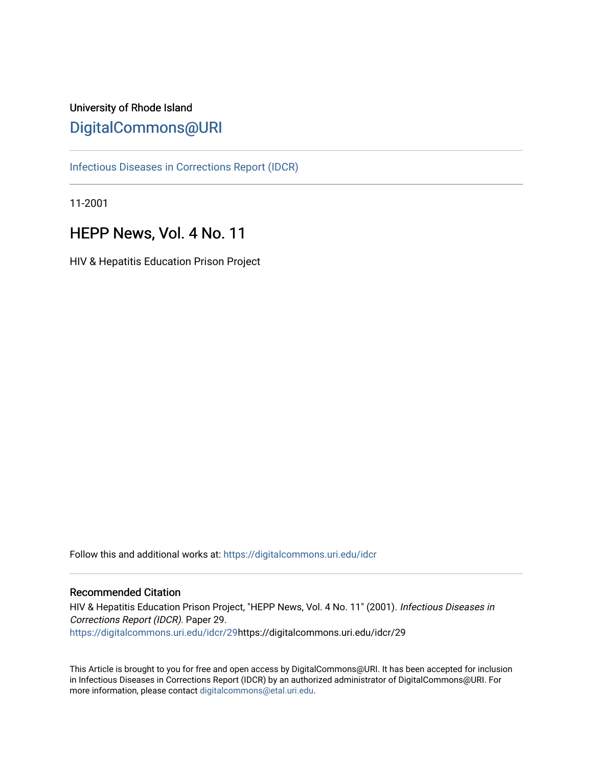# University of Rhode Island [DigitalCommons@URI](https://digitalcommons.uri.edu/)

[Infectious Diseases in Corrections Report \(IDCR\)](https://digitalcommons.uri.edu/idcr)

11-2001

# HEPP News, Vol. 4 No. 11

HIV & Hepatitis Education Prison Project

Follow this and additional works at: [https://digitalcommons.uri.edu/idcr](https://digitalcommons.uri.edu/idcr?utm_source=digitalcommons.uri.edu%2Fidcr%2F29&utm_medium=PDF&utm_campaign=PDFCoverPages)

### Recommended Citation

HIV & Hepatitis Education Prison Project, "HEPP News, Vol. 4 No. 11" (2001). Infectious Diseases in Corrections Report (IDCR). Paper 29. [https://digitalcommons.uri.edu/idcr/29h](https://digitalcommons.uri.edu/idcr/29?utm_source=digitalcommons.uri.edu%2Fidcr%2F29&utm_medium=PDF&utm_campaign=PDFCoverPages)ttps://digitalcommons.uri.edu/idcr/29

This Article is brought to you for free and open access by DigitalCommons@URI. It has been accepted for inclusion in Infectious Diseases in Corrections Report (IDCR) by an authorized administrator of DigitalCommons@URI. For more information, please contact [digitalcommons@etal.uri.edu.](mailto:digitalcommons@etal.uri.edu)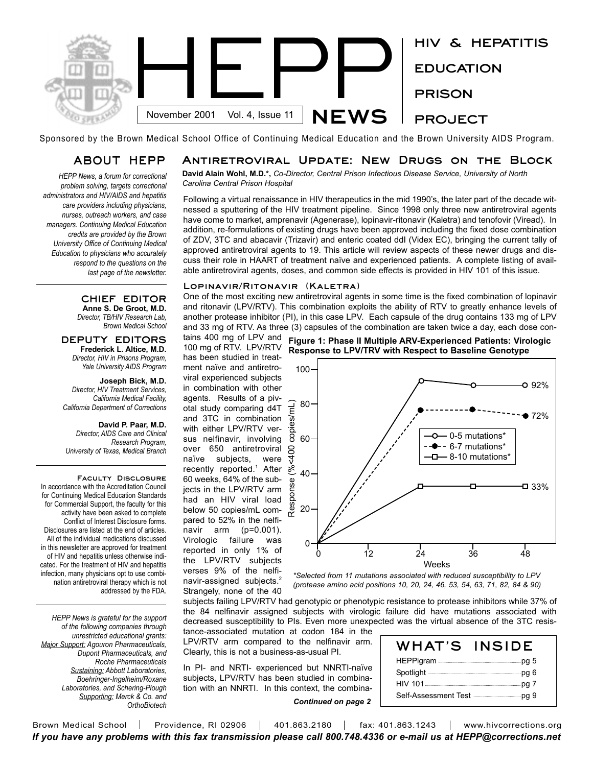

Sponsored by the Brown Medical School Office of Continuing Medical Education and the Brown University AIDS Program.

### **ABOUT HEPP**

*HEPP News, a forum for correctional problem solving, targets correctional administrators and HIV/AIDS and hepatitis care providers including physicians, nurses, outreach workers, and case managers. Continuing Medical Education credits are provided by the Brown University Office of Continuing Medical Education to physicians who accurately respond to the questions on the last page of the newsletter.* 

### **Antiretroviral Update: New Drugs on the Block**

**David Alain Wohl, M.D.\*,** *Co-Director, Central Prison Infectious Disease Service, University of North Carolina Central Prison Hospital*

Following a virtual renaissance in HIV therapeutics in the mid 1990's, the later part of the decade witnessed a sputtering of the HIV treatment pipeline. Since 1998 only three new antiretroviral agents have come to market, amprenavir (Agenerase), lopinavir-ritonavir (Kaletra) and tenofovir (Viread). In addition, re-formulations of existing drugs have been approved including the fixed dose combination of ZDV, 3TC and abacavir (Trizavir) and enteric coated ddI (Videx EC), bringing the current tally of approved antiretroviral agents to 19. This article will review aspects of these newer drugs and discuss their role in HAART of treatment naïve and experienced patients. A complete listing of available antiretroviral agents, doses, and common side effects is provided in HIV 101 of this issue.

### **Lopinavir/Ritonavir (Kaletra)**

One of the most exciting new antiretroviral agents in some time is the fixed combination of lopinavir and ritonavir (LPV/RTV). This combination exploits the ability of RTV to greatly enhance levels of another protease inhibitor (PI), in this case LPV. Each capsule of the drug contains 133 mg of LPV and 33 mg of RTV. As three (3) capsules of the combination are taken twice a day, each dose con-

**CHIEF EDITOR Anne S. De Groot, M.D.** *Director, TB/HIV Research Lab, Brown Medical School*

#### **DEPUTY EDITORS Frederick L. Altice, M.D.** *Director, HIV in Prisons Program, Yale University AIDS Program*

**Joseph Bick, M.D.** *Director, HIV Treatment Services, California Medical Facility, California Department of Corrections*

**David P. Paar, M.D.**

*Director, AIDS Care and Clinical Research Program, University of Texas, Medical Branch*

**Faculty Disclosure**  In accordance with the Accreditation Council for Continuing Medical Education Standards for Commercial Support, the faculty for this activity have been asked to complete Conflict of Interest Disclosure forms. Disclosures are listed at the end of articles. All of the individual medications discussed in this newsletter are approved for treatment of HIV and hepatitis unless otherwise indicated. For the treatment of HIV and hepatitis infection, many physicians opt to use combination antiretroviral therapy which is not addressed by the FDA.

*HEPP News is grateful for the support of the following companies through unrestricted educational grants: Major Support: Agouron Pharmaceuticals, Dupont Pharmaceuticals, and Roche Pharmaceuticals Sustaining: Abbott Laboratories, Boehringer-Ingelheim/Roxane Laboratories, and Schering-Plough Supporting: Merck & Co. and OrthoBiotech*

100 mg of RTV. LPV/RTV has been studied in treatment naïve and antiretroviral experienced subjects in combination with other agents. Results of a pivotal study comparing d4T and 3TC in combination with either LPV/RTV versus nelfinavir, involving over 650 antiretroviral naïve subjects, were recently reported.<sup>1</sup> After 60 weeks, 64% of the subjects in the LPV/RTV arm had an HIV viral load below 50 copies/mL compared to 52% in the nelfinavir arm (p=0.001). Virologic failure was reported in only 1% of the LPV/RTV subjects verses 9% of the nelfinavir-assigned subjects.<sup>2</sup> Strangely, none of the 40





*\*Selected from 11 mutations associated with reduced susceptibility to LPV (protease amino acid positions 10, 20, 24, 46, 53, 54, 63, 71, 82, 84 & 90)*

subjects failing LPV/RTV had genotypic or phenotypic resistance to protease inhibitors while 37% of the 84 nelfinavir assigned subjects with virologic failure did have mutations associated with decreased susceptibility to PIs. Even more unexpected was the virtual absence of the 3TC resistance-associated mutation at codon 184 in the

LPV/RTV arm compared to the nelfinavir arm. Clearly, this is not a business-as-usual PI.

In PI- and NRTI- experienced but NNRTI-naïve subjects, LPV/RTV has been studied in combination with an NNRTI. In this context, the combina-

*Continued on page 2*

| WHAT'S                                               | <b>INSIDE</b> |
|------------------------------------------------------|---------------|
|                                                      |               |
| Spotlight <b>Construction</b> Property Bootlight     |               |
|                                                      |               |
| Self-Assessment Test <b>Constant Contains Fig. 9</b> |               |

Brown Medical School | Providence, RI 02906 | 401.863.2180 | fax: 401.863.1243 | www.hivcorrections.org *If you have any problems with this fax transmission please call 800.748.4336 or e-mail us at HEPP@corrections.net*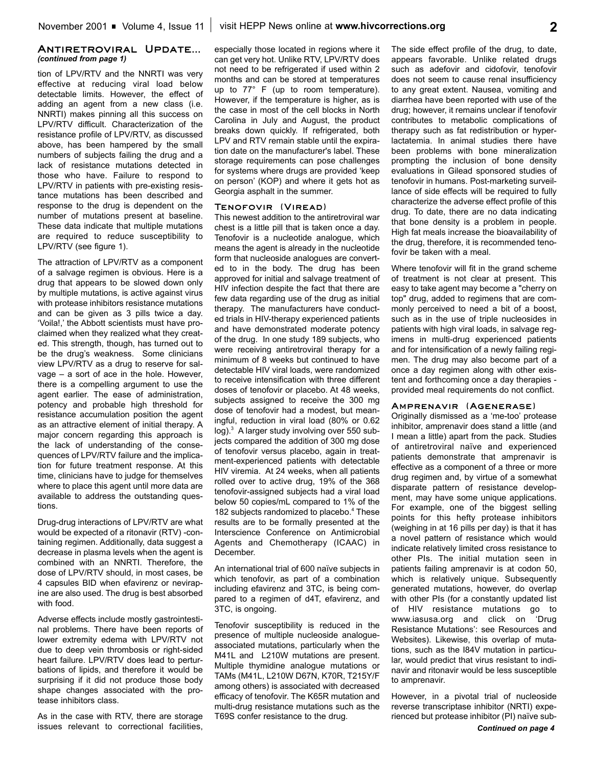### **Antiretroviral Update...** *(continued from page 1)*

tion of LPV/RTV and the NNRTI was very effective at reducing viral load below detectable limits. However, the effect of adding an agent from a new class (i.e. NNRTI) makes pinning all this success on LPV/RTV difficult. Characterization of the resistance profile of LPV/RTV, as discussed above, has been hampered by the small numbers of subjects failing the drug and a lack of resistance mutations detected in those who have. Failure to respond to LPV/RTV in patients with pre-existing resistance mutations has been described and response to the drug is dependent on the number of mutations present at baseline. These data indicate that multiple mutations are required to reduce susceptibility to LPV/RTV (see figure 1).

The attraction of LPV/RTV as a component of a salvage regimen is obvious. Here is a drug that appears to be slowed down only by multiple mutations, is active against virus with protease inhibitors resistance mutations and can be given as 3 pills twice a day. 'Voila!,' the Abbott scientists must have proclaimed when they realized what they created. This strength, though, has turned out to be the drug's weakness. Some clinicians view LPV/RTV as a drug to reserve for salvage – a sort of ace in the hole. However, there is a compelling argument to use the agent earlier. The ease of administration, potency and probable high threshold for resistance accumulation position the agent as an attractive element of initial therapy. A major concern regarding this approach is the lack of understanding of the consequences of LPV/RTV failure and the implication for future treatment response. At this time, clinicians have to judge for themselves where to place this agent until more data are available to address the outstanding questions.

Drug-drug interactions of LPV/RTV are what would be expected of a ritonavir (RTV) -containing regimen. Additionally, data suggest a decrease in plasma levels when the agent is combined with an NNRTI. Therefore, the dose of LPV/RTV should, in most cases, be 4 capsules BID when efavirenz or nevirapine are also used. The drug is best absorbed with food.

Adverse effects include mostly gastrointestinal problems. There have been reports of lower extremity edema with LPV/RTV not due to deep vein thrombosis or right-sided heart failure. LPV/RTV does lead to perturbations of lipids, and therefore it would be surprising if it did not produce those body shape changes associated with the protease inhibitors class.

As in the case with RTV, there are storage issues relevant to correctional facilities, especially those located in regions where it can get very hot. Unlike RTV, LPV/RTV does not need to be refrigerated if used within 2 months and can be stored at temperatures up to 77° F (up to room temperature). However, if the temperature is higher, as is the case in most of the cell blocks in North Carolina in July and August, the product breaks down quickly. If refrigerated, both LPV and RTV remain stable until the expiration date on the manufacturer's label. These storage requirements can pose challenges for systems where drugs are provided 'keep on person' (KOP) and where it gets hot as Georgia asphalt in the summer.

### **Tenofovir (Viread)**

This newest addition to the antiretroviral war chest is a little pill that is taken once a day. Tenofovir is a nucleotide analogue, which means the agent is already in the nucleotide form that nucleoside analogues are converted to in the body. The drug has been approved for initial and salvage treatment of HIV infection despite the fact that there are few data regarding use of the drug as initial therapy. The manufacturers have conducted trials in HIV-therapy experienced patients and have demonstrated moderate potency of the drug. In one study 189 subjects, who were receiving antiretroviral therapy for a minimum of 8 weeks but continued to have detectable HIV viral loads, were randomized to receive intensification with three different doses of tenofovir or placebo. At 48 weeks, subjects assigned to receive the 300 mg dose of tenofovir had a modest, but meaningful, reduction in viral load (80% or 0.62 log).<sup>3</sup> A larger study involving over 550 subjects compared the addition of 300 mg dose of tenofovir versus placebo, again in treatment-experienced patients with detectable HIV viremia. At 24 weeks, when all patients rolled over to active drug, 19% of the 368 tenofovir-assigned subjects had a viral load below 50 copies/mL compared to 1% of the 182 subjects randomized to placebo.<sup>4</sup> These results are to be formally presented at the Interscience Conference on Antimicrobial Agents and Chemotherapy (ICAAC) in **December** 

An international trial of 600 naïve subjects in which tenofovir, as part of a combination including efavirenz and 3TC, is being compared to a regimen of d4T, efavirenz, and 3TC, is ongoing.

Tenofovir susceptibility is reduced in the presence of multiple nucleoside analogueassociated mutations, particularly when the M41L and L210W mutations are present. Multiple thymidine analogue mutations or TAMs (M41L, L210W D67N, K70R, T215Y/F among others) is associated with decreased efficacy of tenofovir. The K65R mutation and multi-drug resistance mutations such as the T69S confer resistance to the drug.

The side effect profile of the drug, to date, appears favorable. Unlike related drugs such as adefovir and cidofovir, tenofovir does not seem to cause renal insufficiency to any great extent. Nausea, vomiting and diarrhea have been reported with use of the drug; however, it remains unclear if tenofovir contributes to metabolic complications of therapy such as fat redistribution or hyperlactatemia. In animal studies there have been problems with bone mineralization prompting the inclusion of bone density evaluations in Gilead sponsored studies of tenofovir in humans. Post-marketing surveillance of side effects will be required to fully characterize the adverse effect profile of this drug. To date, there are no data indicating that bone density is a problem in people. High fat meals increase the bioavailability of the drug, therefore, it is recommended tenofovir be taken with a meal.

Where tenofovir will fit in the grand scheme of treatment is not clear at present. This easy to take agent may become a "cherry on top" drug, added to regimens that are commonly perceived to need a bit of a boost, such as in the use of triple nucleosides in patients with high viral loads, in salvage regimens in multi-drug experienced patients and for intensification of a newly failing regimen. The drug may also become part of a once a day regimen along with other existent and forthcoming once a day therapies provided meal requirements do not conflict.

### **Amprenavir (Agenerase)**

Originally dismissed as a 'me-too' protease inhibitor, amprenavir does stand a little (and I mean a little) apart from the pack. Studies of antiretroviral naïve and experienced patients demonstrate that amprenavir is effective as a component of a three or more drug regimen and, by virtue of a somewhat disparate pattern of resistance development, may have some unique applications. For example, one of the biggest selling points for this hefty protease inhibitors (weighing in at 16 pills per day) is that it has a novel pattern of resistance which would indicate relatively limited cross resistance to other PIs. The initial mutation seen in patients failing amprenavir is at codon 50, which is relatively unique. Subsequently generated mutations, however, do overlap with other PIs (for a constantly updated list of HIV resistance mutations go to www.iasusa.org and click on 'Drug Resistance Mutations': see Resources and Websites). Likewise, this overlap of mutations, such as the I84V mutation in particular, would predict that virus resistant to indinavir and ritonavir would be less susceptible to amprenavir.

However, in a pivotal trial of nucleoside reverse transcriptase inhibitor (NRTI) experienced but protease inhibitor (PI) naïve sub-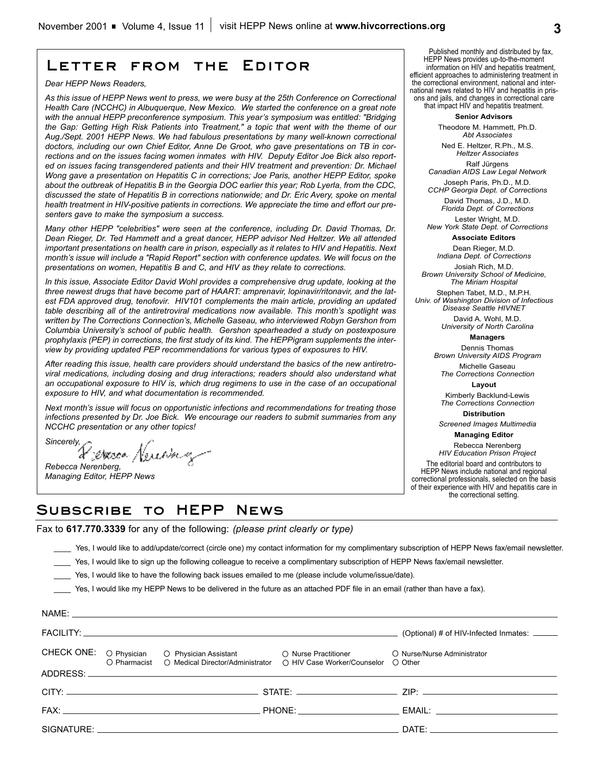# **Letter from the Editor**

#### *Dear HEPP News Readers,*

*As this issue of HEPP News went to press, we were busy at the 25th Conference on Correctional Health Care (NCCHC) in Albuquerque, New Mexico. We started the conference on a great note with the annual HEPP preconference symposium. This year's symposium was entitled: "Bridging the Gap: Getting High Risk Patients into Treatment," a topic that went with the theme of our Aug./Sept. 2001 HEPP News. We had fabulous presentations by many well-known correctional doctors, including our own Chief Editor, Anne De Groot, who gave presentations on TB in corrections and on the issues facing women inmates with HIV. Deputy Editor Joe Bick also reported on issues facing transgendered patients and their HIV treatment and prevention: Dr. Michael Wong gave a presentation on Hepatitis C in corrections; Joe Paris, another HEPP Editor, spoke about the outbreak of Hepatitis B in the Georgia DOC earlier this year; Rob Lyerla, from the CDC, discussed the state of Hepatitis B in corrections nationwide; and Dr. Eric Avery, spoke on mental health treatment in HIV-positive patients in corrections. We appreciate the time and effort our presenters gave to make the symposium a success.*

*Many other HEPP "celebrities" were seen at the conference, including Dr. David Thomas, Dr. Dean Rieger, Dr. Ted Hammett and a great dancer, HEPP advisor Ned Heltzer. We all attended important presentations on health care in prison, especially as it relates to HIV and Hepatitis. Next month's issue will include a "Rapid Report" section with conference updates. We will focus on the presentations on women, Hepatitis B and C, and HIV as they relate to corrections.*

*In this issue, Associate Editor David Wohl provides a comprehensive drug update, looking at the three newest drugs that have become part of HAART: amprenavir, lopinavir/ritonavir, and the latest FDA approved drug, tenofovir. HIV101 complements the main article, providing an updated table describing all of the antiretroviral medications now available. This month's spotlight was written by The Corrections Connection's, Michelle Gaseau, who interviewed Robyn Gershon from Columbia University's school of public health. Gershon spearheaded a study on postexposure prophylaxis (PEP) in corrections, the first study of its kind. The HEPPigram supplements the interview by providing updated PEP recommendations for various types of exposures to HIV.*

*After reading this issue, health care providers should understand the basics of the new antiretroviral medications, including dosing and drug interactions; readers should also understand what an occupational exposure to HIV is, which drug regimens to use in the case of an occupational exposure to HIV, and what documentation is recommended.*

*Next month's issue will focus on opportunistic infections and recommendations for treating those infections presented by Dr. Joe Bick. We encourage our readers to submit summaries from any NCCHC presentation or any other topics!*

*Sincerely, Rebecca Nerenberg,* 

*Managing Editor, HEPP News*

# **Subscribe to HEPP News**

Fax to **617.770.3339** for any of the following: *(please print clearly or type)*

\_\_\_\_ Yes, I would like to add/update/correct (circle one) my contact information for my complimentary subscription of HEPP News fax/email newsletter.

- Yes, I would like to sign up the following colleague to receive a complimentary subscription of HEPP News fax/email newsletter.
- \_\_\_\_ Yes, I would like to have the following back issues emailed to me (please include volume/issue/date).

\_\_\_\_ Yes, I would like my HEPP News to be delivered in the future as an attached PDF file in an email (rather than have a fax).

|  | NAME: NAME: 2008 - 2008 - 2008 - 2008 - 2018 - 2018 - 2018 - 2018 - 2018 - 2018 - 2018 - 2018 - 2018 - 2018 - 2018 - 2018 - 2018 - 2018 - 2018 - 2018 - 2018 - 2018 - 2018 - 2018 - 2018 - 2018 - 2018 - 2018 - 2018 - 2018 - |                                              |
|--|-------------------------------------------------------------------------------------------------------------------------------------------------------------------------------------------------------------------------------|----------------------------------------------|
|  |                                                                                                                                                                                                                               | (Optional) # of HIV-Infected Inmates: ______ |
|  | CHECK ONE: O Physician O Physician Assistant O Nurse Practitioner<br>O Pharmacist O Medical Director/Administrator O HIV Case Worker/Counselor O Other                                                                        | O Nurse/Nurse Administrator                  |
|  |                                                                                                                                                                                                                               |                                              |
|  |                                                                                                                                                                                                                               |                                              |
|  |                                                                                                                                                                                                                               |                                              |
|  |                                                                                                                                                                                                                               |                                              |
|  |                                                                                                                                                                                                                               |                                              |

**Senior Advisors**

Theodore M. Hammett, Ph.D. *Abt Associates*

Ned E. Heltzer, R.Ph., M.S. *Heltzer Associates* Ralf Jürgens

*Canadian AIDS Law Legal Network* Joseph Paris, Ph.D., M.D.

*CCHP Georgia Dept. of Corrections*  David Thomas, J.D., M.D.

*Florida Dept. of Corrections* Lester Wright, M.D.

*New York State Dept. of Corrections* **Associate Editors**

Dean Rieger, M.D.

*Indiana Dept. of Corrections* Josiah Rich, M.D.

*Brown University School of Medicine, The Miriam Hospital*

Stephen Tabet, M.D., M.P.H. *Univ. of Washington Division of Infectious Disease Seattle HIVNET*

> David A. Wohl, M.D. *University of North Carolina*

> > **Managers**

Dennis Thomas *Brown University AIDS Program*

Michelle Gaseau *The Corrections Connection*

**Layout**

Kimberly Backlund-Lewis *The Corrections Connection*

**Distribution**

*Screened Images Multimedia* **Managing Editor** 

Rebecca Nerenberg *HIV Education Prison Project* The editorial board and contributors to HEPP News include national and regional correctional professionals, selected on the basis of their experience with HIV and hepatitis care in the correctional setting.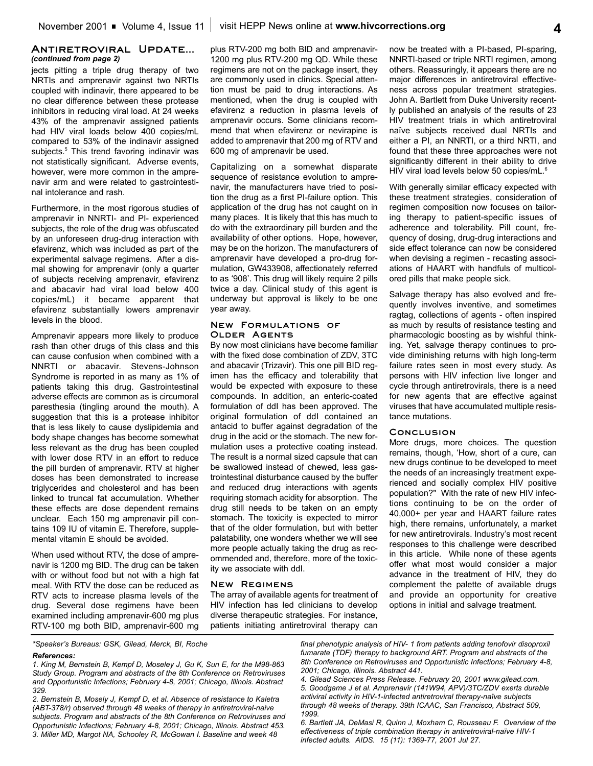### **Antiretroviral Update...** *(continued from page 2)*

jects pitting a triple drug therapy of two NRTIs and amprenavir against two NRTIs coupled with indinavir, there appeared to be no clear difference between these protease inhibitors in reducing viral load. At 24 weeks 43% of the amprenavir assigned patients had HIV viral loads below 400 copies/mL compared to 53% of the indinavir assigned subjects.<sup>5</sup> This trend favoring indinavir was not statistically significant. Adverse events, however, were more common in the amprenavir arm and were related to gastrointestinal intolerance and rash.

Furthermore, in the most rigorous studies of amprenavir in NNRTI- and PI- experienced subjects, the role of the drug was obfuscated by an unforeseen drug-drug interaction with efavirenz, which was included as part of the experimental salvage regimens. After a dismal showing for amprenavir (only a quarter of subjects receiving amprenavir, efavirenz and abacavir had viral load below 400 copies/mL) it became apparent that efavirenz substantially lowers amprenavir levels in the blood.

Amprenavir appears more likely to produce rash than other drugs of this class and this can cause confusion when combined with a NNRTI or abacavir. Stevens-Johnson Syndrome is reported in as many as 1% of patients taking this drug. Gastrointestinal adverse effects are common as is circumoral paresthesia (tingling around the mouth). A suggestion that this is a protease inhibitor that is less likely to cause dyslipidemia and body shape changes has become somewhat less relevant as the drug has been coupled with lower dose RTV in an effort to reduce the pill burden of amprenavir. RTV at higher doses has been demonstrated to increase triglycerides and cholesterol and has been linked to truncal fat accumulation. Whether these effects are dose dependent remains unclear. Each 150 mg amprenavir pill contains 109 IU of vitamin E. Therefore, supplemental vitamin E should be avoided.

When used without RTV, the dose of amprenavir is 1200 mg BID. The drug can be taken with or without food but not with a high fat meal. With RTV the dose can be reduced as RTV acts to increase plasma levels of the drug. Several dose regimens have been examined including amprenavir-600 mg plus RTV-100 mg both BID, amprenavir-600 mg

plus RTV-200 mg both BID and amprenavir-1200 mg plus RTV-200 mg QD. While these regimens are not on the package insert, they are commonly used in clinics. Special attention must be paid to drug interactions. As mentioned, when the drug is coupled with efavirenz a reduction in plasma levels of amprenavir occurs. Some clinicians recommend that when efavirenz or nevirapine is added to amprenavir that 200 mg of RTV and 600 mg of amprenavir be used.

Capitalizing on a somewhat disparate sequence of resistance evolution to amprenavir, the manufacturers have tried to position the drug as a first PI-failure option. This application of the drug has not caught on in many places. It is likely that this has much to do with the extraordinary pill burden and the availability of other options. Hope, however, may be on the horizon. The manufacturers of amprenavir have developed a pro-drug formulation, GW433908, affectionately referred to as '908'. This drug will likely require 2 pills twice a day. Clinical study of this agent is underway but approval is likely to be one year away.

### **New Formulations of Older Agents**

By now most clinicians have become familiar with the fixed dose combination of ZDV, 3TC and abacavir (Trizavir). This one pill BID regimen has the efficacy and tolerability that would be expected with exposure to these compounds. In addition, an enteric-coated formulation of ddI has been approved. The original formulation of ddI contained an antacid to buffer against degradation of the drug in the acid or the stomach. The new formulation uses a protective coating instead. The result is a normal sized capsule that can be swallowed instead of chewed, less gastrointestinal disturbance caused by the buffer and reduced drug interactions with agents requiring stomach acidity for absorption. The drug still needs to be taken on an empty stomach. The toxicity is expected to mirror that of the older formulation, but with better palatability, one wonders whether we will see more people actually taking the drug as recommended and, therefore, more of the toxicity we associate with ddI.

### **New Regimens**

The array of available agents for treatment of HIV infection has led clinicians to develop diverse therapeutic strategies. For instance, patients initiating antiretroviral therapy can now be treated with a PI-based, PI-sparing, NNRTI-based or triple NRTI regimen, among others. Reassuringly, it appears there are no major differences in antiretroviral effectiveness across popular treatment strategies. John A. Bartlett from Duke University recently published an analysis of the results of 23 HIV treatment trials in which antiretroviral naïve subjects received dual NRTIs and either a PI, an NNRTI, or a third NRTI, and found that these three approaches were not significantly different in their ability to drive HIV viral load levels below 50 copies/mL.<sup>6</sup>

With generally similar efficacy expected with these treatment strategies, consideration of regimen composition now focuses on tailoring therapy to patient-specific issues of adherence and tolerability. Pill count, frequency of dosing, drug-drug interactions and side effect tolerance can now be considered when devising a regimen - recasting associations of HAART with handfuls of multicolored pills that make people sick.

Salvage therapy has also evolved and frequently involves inventive, and sometimes ragtag, collections of agents - often inspired as much by results of resistance testing and pharmacologic boosting as by wishful thinking. Yet, salvage therapy continues to provide diminishing returns with high long-term failure rates seen in most every study. As persons with HIV infection live longer and cycle through antiretrovirals, there is a need for new agents that are effective against viruses that have accumulated multiple resistance mutations.

### **Conclusion**

More drugs, more choices. The question remains, though, 'How, short of a cure, can new drugs continue to be developed to meet the needs of an increasingly treatment experienced and socially complex HIV positive population?" With the rate of new HIV infections continuing to be on the order of 40,000+ per year and HAART failure rates high, there remains, unfortunately, a market for new antiretrovirals. Industry's most recent responses to this challenge were described in this article. While none of these agents offer what most would consider a major advance in the treatment of HIV, they do complement the palette of available drugs and provide an opportunity for creative options in initial and salvage treatment.

*\*Speaker's Bureaus: GSK, Gilead, Merck, BI, Roche*

#### *References:*

*1. King M, Bernstein B, Kempf D, Moseley J, Gu K, Sun E, for the M98-863 Study Group. Program and abstracts of the 8th Conference on Retroviruses and Opportunistic Infections; February 4-8, 2001; Chicago, Illinois. Abstract 329.*

*2. Bernstein B, Mosely J, Kempf D, et al. Absence of resistance to Kaletra (ABT-378/r) observed through 48 weeks of therapy in antiretroviral-naive subjects. Program and abstracts of the 8th Conference on Retroviruses and Opportunistic Infections; February 4-8, 2001; Chicago, Illinois. Abstract 453. 3. Miller MD, Margot NA, Schooley R, McGowan I. Baseline and week 48*

*final phenotypic analysis of HIV- 1 from patients adding tenofovir disoproxil fumarate (TDF) therapy to background ART. Program and abstracts of the 8th Conference on Retroviruses and Opportunistic Infections; February 4-8, 2001; Chicago, Illinois. Abstract 441.*

*4. Gilead Sciences Press Release. February 20, 2001 www.gilead.com. 5. Goodgame J et al. Amprenavir (141W94, APV)/3TC/ZDV exerts durable antiviral activity in HIV-1-infected antiretroviral therapy-naïve subjects through 48 weeks of therapy. 39th ICAAC, San Francisco, Abstract 509, 1999.*

*6. Bartlett JA, DeMasi R, Quinn J, Moxham C, Rousseau F. Overview of the effectiveness of triple combination therapy in antiretroviral-naïve HIV-1 infected adults. AIDS. 15 (11): 1369-77, 2001 Jul 27.*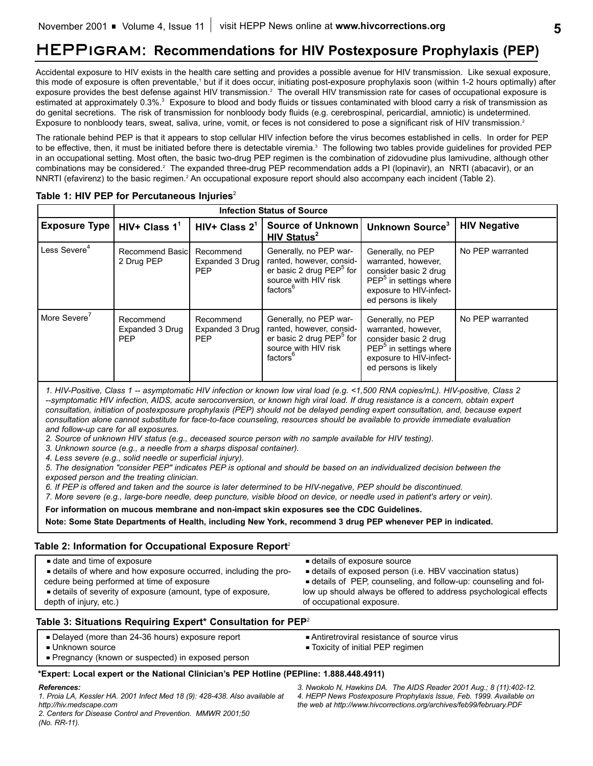# **HEPPigram: Recommendations for HIV Postexposure Prophylaxis (PEP)**

Accidental exposure to HIV exists in the health care setting and provides a possible avenue for HIV transmission. Like sexual exposure, this mode of exposure is often preventable,<sup>1</sup> but if it does occur, initiating post-exposure prophylaxis soon (within 1-2 hours optimally) after exposure provides the best defense against HIV transmission.<sup>2</sup> The overall HIV transmission rate for cases of occupational exposure is estimated at approximately 0.3%.<sup>3</sup> Exposure to blood and body fluids or tissues contaminated with blood carry a risk of transmission as do genital secretions. The risk of transmission for nonbloody body fluids (e.g. cerebrospinal, pericardial, amniotic) is undetermined. Exposure to nonbloody tears, sweat, saliva, urine, vomit, or feces is not considered to pose a significant risk of HIV transmission.<sup>2</sup>

The rationale behind PEP is that it appears to stop cellular HIV infection before the virus becomes established in cells. In order for PEP to be effective, then, it must be initiated before there is detectable viremia.<sup>3</sup> The following two tables provide guidelines for provided PEP in an occupational setting. Most often, the basic two-drug PEP regimen is the combination of zidovudine plus lamivudine, although other combinations may be considered.2 The expanded three-drug PEP recommendation adds a PI (lopinavir), an NRTI (abacavir), or an NNRTI (efavirenz) to the basic regimen.<sup>2</sup> An occupational exposure report should also accompany each incident (Table 2).

|                             | <b>Infection Status of Source</b>          |                                            |                                                                                                                                            |                                                                                                                                                            |                     |
|-----------------------------|--------------------------------------------|--------------------------------------------|--------------------------------------------------------------------------------------------------------------------------------------------|------------------------------------------------------------------------------------------------------------------------------------------------------------|---------------------|
| <b>Exposure Type</b>        | HIV+ Class $11$                            | HIV+ Class $2^1$                           | Source of Unknown<br>HIV Status <sup>2</sup>                                                                                               | Unknown Source <sup>3</sup>                                                                                                                                | <b>HIV Negative</b> |
| Less Severe $^{\mathtt{4}}$ | Recommend Basic<br>2 Drug PEP              | Recommend<br>Expanded 3 Drug<br><b>PEP</b> | Generally, no PEP war-<br>ranted, however, consid-<br>er basic 2 drug PEP <sup>5</sup> for<br>source with HIV risk<br>factors <sup>6</sup> | Generally, no PEP<br>warranted, however,<br>consider basic 2 drug<br>PEP <sup>5</sup> in settings where<br>exposure to HIV-infect-<br>ed persons is likely | No PEP warranted    |
| More Severe'                | Recommend<br>Expanded 3 Drug<br><b>PEP</b> | Recommend<br>Expanded 3 Drug<br><b>PEP</b> | Generally, no PEP war-<br>ranted, however, consid-<br>er basic 2 drug PEP <sup>5</sup> for<br>source with HIV risk<br>factors <sup>6</sup> | Generally, no PEP<br>warranted, however,<br>consider basic 2 drug<br>$PEP5$ in settings where<br>exposure to HIV-infect-<br>ed persons is likely           | No PEP warranted    |

### Table 1: HIV PEP for Percutaneous Injuries<sup>2</sup>

*1. HIV-Positive, Class 1 -- asymptomatic HIV infection or known low viral load (e.g. <1,500 RNA copies/mL). HIV-positive, Class 2 --symptomatic HIV infection, AIDS, acute seroconversion, or known high viral load. If drug resistance is a concern, obtain expert consultation, initiation of postexposure prophylaxis (PEP) should not be delayed pending expert consultation, and, because expert consultation alone cannot substitute for face-to-face counseling, resources should be available to provide immediate evaluation and follow-up care for all exposures.*

*2. Source of unknown HIV status (e.g., deceased source person with no sample available for HIV testing).*

*3. Unknown source (e.g., a needle from a sharps disposal container).*

*4. Less severe (e.g., solid needle or superficial injury).*

*5. The designation "consider PEP" indicates PEP is optional and should be based on an individualized decision between the*

*exposed person and the treating clinician.*

*6. If PEP is offered and taken and the source is later determined to be HIV-negative, PEP should be discontinued.*

*7. More severe (e.g., large-bore needle, deep puncture, visible blood on device, or needle used in patient's artery or vein).*

**For information on mucous membrane and non-impact skin exposures see the CDC Guidelines.**

**Note: Some State Departments of Health, including New York, recommend 3 drug PEP whenever PEP in indicated.**

### **Table 2: Information for Occupational Exposure Report**<sup>2</sup>

| date and time of exposure                                        | details of exposure source                                       |
|------------------------------------------------------------------|------------------------------------------------------------------|
| - details of where and how exposure occurred, including the pro- | details of exposed person (i.e. HBV vaccination status)          |
| cedure being performed at time of exposure                       | ■ details of PEP, counseling, and follow-up: counseling and fol- |
| details of severity of exposure (amount, type of exposure,       | low up should always be offered to address psychological effects |
| depth of injury, etc.)                                           | of occupational exposure.                                        |

### **Table 3: Situations Requiring Expert\* Consultation for PEP**<sup>2</sup>

- Delayed (more than 24-36 hours) exposure report
- **Unknown source**
- Pregnancy (known or suspected) in exposed person
- Antiretroviral resistance of source virus
- Toxicity of initial PEP regimen

### **\*Expert: Local expert or the National Clinician's PEP Hotline (PEPline: 1.888.448.4911)**

### *References:*

*1. Proia LA, Kessler HA. 2001 Infect Med 18 (9): 428-438. Also available at http://hiv.medscape.com*

*2. Centers for Disease Control and Prevention. MMWR 2001;50 (No. RR-11).*

*3. Nwokolo N, Hawkins DA. The AIDS Reader 2001 Aug.; 8 (11):402-12. 4. HEPP News Postexposure Prophylaxis Issue, Feb. 1999. Available on the web at http://www.hivcorrections.org/archives/feb99/february.PDF*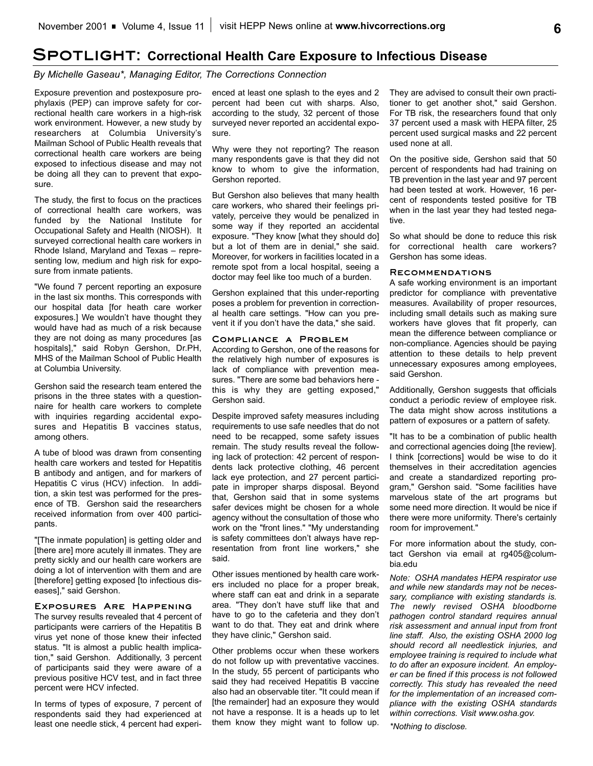# **Spotlight: Correctional Health Care Exposure to Infectious Disease**

*By Michelle Gaseau\*, Managing Editor, The Corrections Connection*

Exposure prevention and postexposure prophylaxis (PEP) can improve safety for correctional health care workers in a high-risk work environment. However, a new study by researchers at Columbia University's Mailman School of Public Health reveals that correctional health care workers are being exposed to infectious disease and may not be doing all they can to prevent that exposure.

The study, the first to focus on the practices of correctional health care workers, was funded by the National Institute for Occupational Safety and Health (NIOSH). It surveyed correctional health care workers in Rhode Island, Maryland and Texas – representing low, medium and high risk for exposure from inmate patients.

"We found 7 percent reporting an exposure in the last six months. This corresponds with our hospital data [for heath care worker exposures.] We wouldn't have thought they would have had as much of a risk because they are not doing as many procedures [as hospitals]," said Robyn Gershon, Dr.PH, MHS of the Mailman School of Public Health at Columbia University.

Gershon said the research team entered the prisons in the three states with a questionnaire for health care workers to complete with inquiries regarding accidental exposures and Hepatitis B vaccines status, among others.

A tube of blood was drawn from consenting health care workers and tested for Hepatitis B antibody and antigen, and for markers of Hepatitis C virus (HCV) infection. In addition, a skin test was performed for the presence of TB. Gershon said the researchers received information from over 400 participants.

"[The inmate population] is getting older and [there are] more acutely ill inmates. They are pretty sickly and our health care workers are doing a lot of intervention with them and are [therefore] getting exposed [to infectious diseases]," said Gershon.

### **Exposures Are Happening**

The survey results revealed that 4 percent of participants were carriers of the Hepatitis B virus yet none of those knew their infected status. "It is almost a public health implication," said Gershon. Additionally, 3 percent of participants said they were aware of a previous positive HCV test, and in fact three percent were HCV infected.

In terms of types of exposure, 7 percent of respondents said they had experienced at least one needle stick, 4 percent had experienced at least one splash to the eyes and 2 percent had been cut with sharps. Also, according to the study, 32 percent of those surveyed never reported an accidental exposure.

Why were they not reporting? The reason many respondents gave is that they did not know to whom to give the information, Gershon reported.

But Gershon also believes that many health care workers, who shared their feelings privately, perceive they would be penalized in some way if they reported an accidental exposure. "They know [what they should do] but a lot of them are in denial," she said. Moreover, for workers in facilities located in a remote spot from a local hospital, seeing a doctor may feel like too much of a burden.

Gershon explained that this under-reporting poses a problem for prevention in correctional health care settings. "How can you prevent it if you don't have the data," she said.

### **Compliance a Problem**

According to Gershon, one of the reasons for the relatively high number of exposures is lack of compliance with prevention measures. "There are some bad behaviors here this is why they are getting exposed," Gershon said.

Despite improved safety measures including requirements to use safe needles that do not need to be recapped, some safety issues remain. The study results reveal the following lack of protection: 42 percent of respondents lack protective clothing, 46 percent lack eye protection, and 27 percent participate in improper sharps disposal. Beyond that, Gershon said that in some systems safer devices might be chosen for a whole agency without the consultation of those who work on the "front lines." "My understanding is safety committees don't always have representation from front line workers," she said.

Other issues mentioned by health care workers included no place for a proper break, where staff can eat and drink in a separate area. "They don't have stuff like that and have to go to the cafeteria and they don't want to do that. They eat and drink where they have clinic," Gershon said.

Other problems occur when these workers do not follow up with preventative vaccines. In the study, 55 percent of participants who said they had received Hepatitis B vaccine also had an observable titer. "It could mean if [the remainder] had an exposure they would not have a response. It is a heads up to let them know they might want to follow up. They are advised to consult their own practitioner to get another shot," said Gershon. For TB risk, the researchers found that only 37 percent used a mask with HEPA filter, 25 percent used surgical masks and 22 percent used none at all.

On the positive side, Gershon said that 50 percent of respondents had had training on TB prevention in the last year and 97 percent had been tested at work. However, 16 percent of respondents tested positive for TB when in the last year they had tested negative.

So what should be done to reduce this risk for correctional health care workers? Gershon has some ideas.

### **Recommendations**

A safe working environment is an important predictor for compliance with preventative measures. Availability of proper resources, including small details such as making sure workers have gloves that fit properly, can mean the difference between compliance or non-compliance. Agencies should be paying attention to these details to help prevent unnecessary exposures among employees, said Gershon.

Additionally, Gershon suggests that officials conduct a periodic review of employee risk. The data might show across institutions a pattern of exposures or a pattern of safety.

"It has to be a combination of public health and correctional agencies doing [the review]. I think [corrections] would be wise to do it themselves in their accreditation agencies and create a standardized reporting program," Gershon said. "Some facilities have marvelous state of the art programs but some need more direction. It would be nice if there were more uniformity. There's certainly room for improvement."

For more information about the study, contact Gershon via email at rg405@columbia.edu

*Note: OSHA mandates HEPA respirator use and while new standards may not be necessary, compliance with existing standards is. The newly revised OSHA bloodborne pathogen control standard requires annual risk assessment and annual input from front line staff. Also, the existing OSHA 2000 log should record all needlestick injuries, and employee training is required to include what to do after an exposure incident. An employer can be fined if this process is not followed correctly. This study has revealed the need for the implementation of an increased compliance with the existing OSHA standards within corrections. Visit www.osha.gov.*

*\*Nothing to disclose.*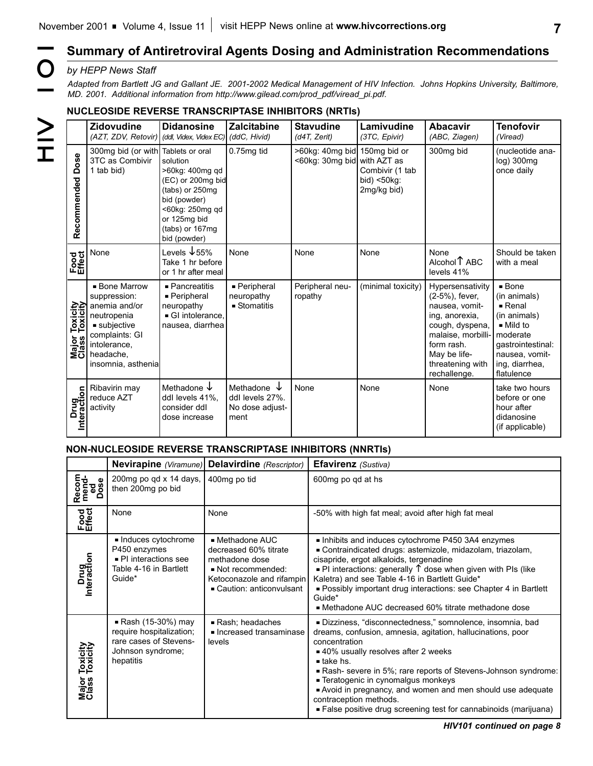# **7**

### *by HEPP News Staff*

### **NUCLEOSIDE REVERSE TRANSCRIPTASE INHIBITORS (NRTIs)**

|                                        | by HEPP News Staff<br>Adapted from Bartlett JG and Gallant JE. 2001-2002 Medical Management of HIV Infection. Johns Hopkins University, Baltimore,<br>MD. 2001. Additional information from http://www.gilead.com/prod_pdf/viread_pi.pdf. |                                                                                                                                                           |                                                                      |                                                             |                                               |                                                                                                                                                                                   |                                                                                                                                                                                          |
|----------------------------------------|-------------------------------------------------------------------------------------------------------------------------------------------------------------------------------------------------------------------------------------------|-----------------------------------------------------------------------------------------------------------------------------------------------------------|----------------------------------------------------------------------|-------------------------------------------------------------|-----------------------------------------------|-----------------------------------------------------------------------------------------------------------------------------------------------------------------------------------|------------------------------------------------------------------------------------------------------------------------------------------------------------------------------------------|
|                                        | <b>NUCLEOSIDE REVERSE TRANSCRIPTASE INHIBITORS (NRTIS)</b><br><b>Zidovudine</b>                                                                                                                                                           | <b>Didanosine</b>                                                                                                                                         | <b>Zalcitabine</b>                                                   | <b>Stavudine</b>                                            | Lamivudine                                    | <b>Abacavir</b>                                                                                                                                                                   | <b>Tenofovir</b>                                                                                                                                                                         |
| $\geq$                                 | (AZT, ZDV, Retovir)                                                                                                                                                                                                                       | ddl, Videx, Videx EC)                                                                                                                                     | (ddC, Hivid)                                                         | (d4T, Zerit)                                                | (3TC, Epivir)                                 | (ABC, Ziagen)                                                                                                                                                                     | (Viread)                                                                                                                                                                                 |
| $\mathbf I$<br>Dose<br>Recommended     | 300mg bid (or with Tablets or oral<br>3TC as Combivir<br>1 tab bid)                                                                                                                                                                       | solution<br>>60kg: 400mg qd<br>(EC) or 200mg bid<br>(tabs) or 250mg<br>bid (powder)<br><60kg: 250mg qd<br>or 125mg bid<br>(tabs) or 167mg<br>bid (powder) | 0.75mg tid                                                           | >60kg: 40mg bid 150mg bid or<br><60kg: 30mg bid with AZT as | Combivir (1 tab<br>bid) <50kg:<br>2mg/kg bid) | 300mg bid                                                                                                                                                                         | (nucleotide ana-<br>log) 300mg<br>once daily                                                                                                                                             |
| Food<br>Effect                         | None                                                                                                                                                                                                                                      | Levels ↓55%<br>Take 1 hr before<br>or 1 hr after meal                                                                                                     | None                                                                 | None                                                        | None                                          | None<br>Alcohol <sup>1</sup> ABC<br>levels 41%                                                                                                                                    | Should be taken<br>with a meal                                                                                                                                                           |
| Major Toxicity<br>Class Toxicity<br>žö | <b>Bone Marrow</b><br>suppression:<br>anemia and/or<br>neutropenia<br>$\blacksquare$ subjective<br>complaints: GI<br>intolerance.<br>headache,<br>insomnia, asthenia                                                                      | $\blacksquare$ Pancreatitis<br>- Peripheral<br>neuropathy<br>GI intolerance.<br>nausea, diarrhea                                                          | - Peripheral<br>neuropathy<br>$\blacksquare$ Stomatitis              | Peripheral neu-<br>ropathy                                  | (minimal toxicity)                            | Hypersensativity<br>(2-5%), fever,<br>nausea, vomit-<br>ing, anorexia,<br>cough, dyspena,<br>malaise, morbilli-<br>form rash.<br>May be life-<br>threatening with<br>rechallenge. | $\blacksquare$ Bone<br>(in animals)<br>$\blacksquare$ Renal<br>(in animals)<br>$\blacksquare$ Mild to<br>moderate<br>gastrointestinal:<br>nausea, vomit-<br>ing, diarrhea,<br>flatulence |
| Drug<br>Interaction                    | Ribavirin may<br>reduce AZT<br>activity                                                                                                                                                                                                   | Methadone $\downarrow$<br>ddl levels 41%,<br>consider ddl<br>dose increase                                                                                | Methadone $\downarrow$<br>ddl levels 27%.<br>No dose adjust-<br>ment | None                                                        | None                                          | None                                                                                                                                                                              | take two hours<br>before or one<br>hour after<br>didanosine<br>(if applicable)                                                                                                           |

### **NON-NUCLEOSIDE REVERSE TRANSCRIPTASE INHIBITORS (NNRTIs)**

|                                        | Nevirapine (Viramune) Delavirdine (Rescriptor)                                                              |                                                                                                                                        | <b>Efavirenz</b> (Sustiva)                                                                                                                                                                                                                                                                                                                                                                                                                                                     |  |  |
|----------------------------------------|-------------------------------------------------------------------------------------------------------------|----------------------------------------------------------------------------------------------------------------------------------------|--------------------------------------------------------------------------------------------------------------------------------------------------------------------------------------------------------------------------------------------------------------------------------------------------------------------------------------------------------------------------------------------------------------------------------------------------------------------------------|--|--|
| Recom<br>mend-<br>Dose<br>Dose         | 200mg po qd x 14 days,<br>then 200mg po bid                                                                 | 400mg po tid                                                                                                                           | 600mg po gd at hs                                                                                                                                                                                                                                                                                                                                                                                                                                                              |  |  |
| Food<br>Effect                         | None                                                                                                        | None                                                                                                                                   | -50% with high fat meal; avoid after high fat meal                                                                                                                                                                                                                                                                                                                                                                                                                             |  |  |
| Drug<br>Interaction                    | Induces cytochrome<br>P450 enzymes<br>- PI interactions see<br>Table 4-16 in Bartlett<br>Guide*             | ■ Methadone AUC<br>decreased 60% titrate<br>methadone dose<br>Not recommended:<br>Ketoconazole and rifampin<br>Caution: anticonvulsant | Inhibits and induces cytochrome P450 3A4 enzymes<br>■ Contraindicated drugs: astemizole, midazolam, triazolam,<br>cisapride, ergot alkaloids, tergenadine<br>$\blacksquare$ PI interactions: generally $\uparrow$ dose when given with PIs (like<br>Kaletra) and see Table 4-16 in Bartlett Guide*<br>- Possibly important drug interactions: see Chapter 4 in Bartlett<br>Guide*<br>■ Methadone AUC decreased 60% titrate methadone dose                                      |  |  |
| Toxicity<br>Toxicity<br>Major<br>Class | ■ Rash (15-30%) may<br>require hospitalization;<br>rare cases of Stevens-<br>Johnson syndrome;<br>hepatitis | Rash; headaches<br>lncreased transaminase<br>levels                                                                                    | Dizziness, "disconnectedness," somnolence, insomnia, bad<br>dreams, confusion, amnesia, agitation, hallucinations, poor<br>concentration<br>■ 40% usually resolves after 2 weeks<br>$\blacksquare$ take hs.<br>Rash-severe in 5%; rare reports of Stevens-Johnson syndrome:<br>- Teratogenic in cynomalgus monkeys<br>Avoid in pregnancy, and women and men should use adequate<br>contraception methods.<br>■ False positive drug screening test for cannabinoids (marijuana) |  |  |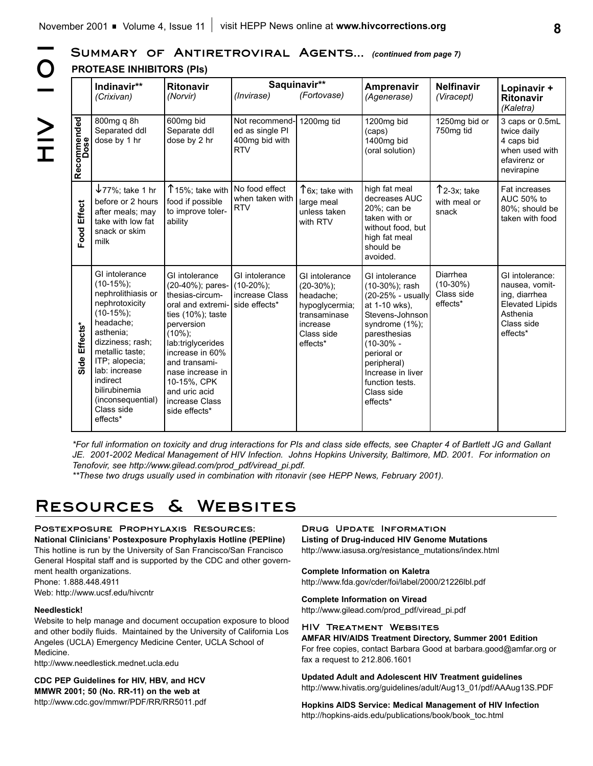SUMMARY OF ANTIRETROVIRAL AGENTS... *(continued from page 7)* 

**HOIN 2H**  $\overline{O}$  $\geq$ <br> $\frac{1}{1}$ 

|                       | <b>PROTEASE INHIBITORS (PIs)</b>                                                                                                                                                                                                                                         |                                                                                                                                                                                                                                                                                 |                                                                    |                                                                                                                      |                                                                                                                                                                                                                                             |                                                  |                                                                                                                    |
|-----------------------|--------------------------------------------------------------------------------------------------------------------------------------------------------------------------------------------------------------------------------------------------------------------------|---------------------------------------------------------------------------------------------------------------------------------------------------------------------------------------------------------------------------------------------------------------------------------|--------------------------------------------------------------------|----------------------------------------------------------------------------------------------------------------------|---------------------------------------------------------------------------------------------------------------------------------------------------------------------------------------------------------------------------------------------|--------------------------------------------------|--------------------------------------------------------------------------------------------------------------------|
|                       | Indinavir**<br>(Crixivan)                                                                                                                                                                                                                                                | <b>Ritonavir</b><br>(Norvir)                                                                                                                                                                                                                                                    | (Invirase)                                                         | Saquinavir**<br>(Fortovase)                                                                                          | Amprenavir<br>(Agenerase)                                                                                                                                                                                                                   | <b>Nelfinavir</b><br>(Viracept)                  | Lopinavir +<br><b>Ritonavir</b><br>(Kaletra)                                                                       |
| Recommended<br>Dose   | 800mg q 8h<br>Separated ddl<br>dose by 1 hr                                                                                                                                                                                                                              | 600mg bid<br>Separate ddl<br>dose by 2 hr                                                                                                                                                                                                                                       | Not recommend-<br>ed as single PI<br>400mg bid with<br><b>RTV</b>  | 1200mg tid                                                                                                           | 1200mg bid<br>(caps)<br>1400mg bid<br>(oral solution)                                                                                                                                                                                       | 1250mg bid or<br>750mg tid                       | 3 caps or 0.5mL<br>twice daily<br>4 caps bid<br>when used with<br>efavirenz or<br>nevirapine                       |
| <b>Effect</b><br>Food | $\sqrt{77\%}$ ; take 1 hr<br>before or 2 hours<br>after meals; may<br>take with low fat<br>snack or skim<br>milk                                                                                                                                                         | $T$ 15%; take with<br>food if possible<br>to improve toler-<br>ability                                                                                                                                                                                                          | No food effect<br>when taken with<br><b>RTV</b>                    | T6x; take with<br>large meal<br>unless taken<br>with RTV                                                             | high fat meal<br>decreases AUC<br>20%; can be<br>taken with or<br>without food, but<br>high fat meal<br>should be<br>avoided.                                                                                                               | $\uparrow$ 2-3x; take<br>with meal or<br>snack   | Fat increases<br>AUC 50% to<br>80%; should be<br>taken with food                                                   |
| Side Effects*         | GI intolerance<br>$(10-15\%)$ ;<br>nephrolithiasis or<br>nephrotoxicity<br>$(10-15\%)$ ;<br>headache;<br>asthenia:<br>dizziness; rash;<br>metallic taste:<br>ITP; alopecia;<br>lab: increase<br>indirect<br>bilirubinemia<br>(inconsequential)<br>Class side<br>effects* | GI intolerance<br>(20-40%); pares-<br>thesias-circum-<br>oral and extremi-<br>ties $(10\%)$ ; taste<br>perversion<br>$(10\%)$ ;<br>lab:triglycerides<br>increase in 60%<br>and transami-<br>nase increase in<br>10-15%, CPK<br>and uric acid<br>increase Class<br>side effects* | GI intolerance<br>$(10-20\%)$ ;<br>increase Class<br>side effects* | GI intolerance<br>$(20-30\%)$ ;<br>headache;<br>hypoglycermia;<br>transaminase<br>increase<br>Class side<br>effects* | GI intolerance<br>(10-30%); rash<br>(20-25% - usually<br>at 1-10 wks),<br>Stevens-Johnson<br>syndrome (1%);<br>paresthesias<br>$(10-30\% -$<br>perioral or<br>peripheral)<br>Increase in liver<br>function tests.<br>Class side<br>effects* | Diarrhea<br>$(10-30%)$<br>Class side<br>effects* | GI intolerance:<br>nausea, vomit-<br>ing, diarrhea<br><b>Elevated Lipids</b><br>Asthenia<br>Class side<br>effects* |

*\*For full information on toxicity and drug interactions for PIs and class side effects, see Chapter 4 of Bartlett JG and Gallant JE. 2001-2002 Medical Management of HIV Infection. Johns Hopkins University, Baltimore, MD. 2001. For information on Tenofovir, see http://www.gilead.com/prod\_pdf/viread\_pi.pdf.*

*\*\*These two drugs usually used in combination with ritonavir (see HEPP News, February 2001).*

# **Resources & Websites**

### **Postexposure Prophylaxis Resources:**

**National Clinicians' Postexposure Prophylaxis Hotline (PEPline)** This hotline is run by the University of San Francisco/San Francisco General Hospital staff and is supported by the CDC and other government health organizations.

Phone: 1.888.448.4911 Web: http://www.ucsf.edu/hivcntr

#### **Needlestick!**

Website to help manage and document occupation exposure to blood and other bodily fluids. Maintained by the University of California Los Angeles (UCLA) Emergency Medicine Center, UCLA School of Medicine.

http://www.needlestick.mednet.ucla.edu

**CDC PEP Guidelines for HIV, HBV, and HCV MMWR 2001; 50 (No. RR-11) on the web at** http://www.cdc.gov/mmwr/PDF/RR/RR5011.pdf

**Drug Update Information Listing of Drug-induced HIV Genome Mutations** http://www.iasusa.org/resistance\_mutations/index.html

**Complete Information on Kaletra**

http://www.fda.gov/cder/foi/label/2000/21226lbl.pdf

**Complete Information on Viread**

http://www.gilead.com/prod\_pdf/viread\_pi.pdf

**HIV Treatment Websites**

**AMFAR HIV/AIDS Treatment Directory, Summer 2001 Edition** For free copies, contact Barbara Good at barbara.good@amfar.org or fax a request to 212.806.1601

**Updated Adult and Adolescent HIV Treatment guidelines** http://www.hivatis.org/guidelines/adult/Aug13\_01/pdf/AAAug13S.PDF

**Hopkins AIDS Service: Medical Management of HIV Infection** http://hopkins-aids.edu/publications/book/book\_toc.html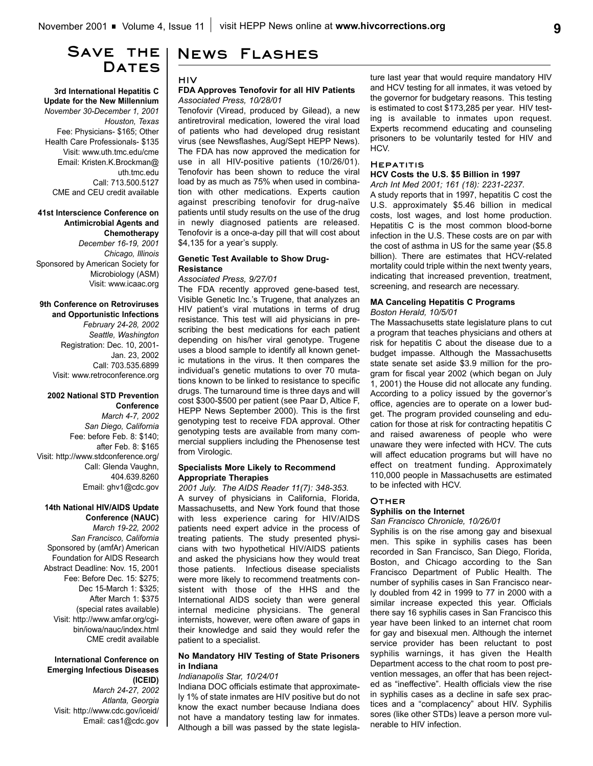# **Save the**  DATES

**3rd International Hepatitis C Update for the New Millennium** *November 30-December 1, 2001 Houston, Texas* Fee: Physicians- \$165; Other Health Care Professionals- \$135 Visit: www.uth.tmc.edu/cme Email: Kristen.K.Brockman@ uth.tmc.edu Call: 713.500.5127 CME and CEU credit available

### **41st Interscience Conference on Antimicrobial Agents and Chemotherapy** *December 16-19, 2001 Chicago, Illinois*

Sponsored by American Society for Microbiology (ASM) Visit: www.icaac.org

#### **9th Conference on Retroviruses and Opportunistic Infections**

*February 24-28, 2002 Seattle, Washington* Registration: Dec. 10, 2001- Jan. 23, 2002 Call: 703.535.6899 Visit: www.retroconference.org

#### **2002 National STD Prevention Conference**

*March 4-7, 2002 San Diego, California* Fee: before Feb. 8: \$140; after Feb. 8: \$165 Visit: http://www.stdconference.org/ Call: Glenda Vaughn, 404.639.8260 Email: ghv1@cdc.gov

#### **14th National HIV/AIDS Update Conference (NAUC)**

*March 19-22, 2002 San Francisco, California* Sponsored by (amfAr) American Foundation for AIDS Research Abstract Deadline: Nov. 15, 2001 Fee: Before Dec. 15: \$275; Dec 15-March 1: \$325; After March 1: \$375 (special rates available) Visit: http://www.amfar.org/cgibin/iowa/nauc/index.html CME credit available

### **International Conference on Emerging Infectious Diseases (ICEID)**

*March 24-27, 2002 Atlanta, Georgia* Visit: http://www.cdc.gov/iceid/ Email: cas1@cdc.gov

# **News Flashes**

### **HIV**

### **FDA Approves Tenofovir for all HIV Patients** *Associated Press, 10/28/01*

Tenofovir (Viread, produced by Gilead), a new antiretroviral medication, lowered the viral load of patients who had developed drug resistant virus (see Newsflashes, Aug/Sept HEPP News). The FDA has now approved the medication for use in all HIV-positive patients (10/26/01). Tenofovir has been shown to reduce the viral load by as much as 75% when used in combination with other medications. Experts caution against prescribing tenofovir for drug-naïve patients until study results on the use of the drug in newly diagnosed patients are released. Tenofovir is a once-a-day pill that will cost about \$4,135 for a year's supply.

### **Genetic Test Available to Show Drug-Resistance**

### *Associated Press, 9/27/01*

The FDA recently approved gene-based test, Visible Genetic Inc.'s Trugene, that analyzes an HIV patient's viral mutations in terms of drug resistance. This test will aid physicians in prescribing the best medications for each patient depending on his/her viral genotype. Trugene uses a blood sample to identify all known genetic mutations in the virus. It then compares the individual's genetic mutations to over 70 mutations known to be linked to resistance to specific drugs. The turnaround time is three days and will cost \$300-\$500 per patient (see Paar D, Altice F, HEPP News September 2000). This is the first genotyping test to receive FDA approval. Other genotyping tests are available from many commercial suppliers including the Phenosense test from Virologic.

### **Specialists More Likely to Recommend Appropriate Therapies**

*2001 July. The AIDS Reader 11(7): 348-353.* A survey of physicians in California, Florida, Massachusetts, and New York found that those with less experience caring for HIV/AIDS patients need expert advice in the process of treating patients. The study presented physicians with two hypothetical HIV/AIDS patients and asked the physicians how they would treat those patients. Infectious disease specialists were more likely to recommend treatments consistent with those of the HHS and the International AIDS society than were general internal medicine physicians. The general internists, however, were often aware of gaps in their knowledge and said they would refer the patient to a specialist.

### **No Mandatory HIV Testing of State Prisoners in Indiana**

### *Indianapolis Star, 10/24/01*

Indiana DOC officials estimate that approximately 1% of state inmates are HIV positive but do not know the exact number because Indiana does not have a mandatory testing law for inmates. Although a bill was passed by the state legislature last year that would require mandatory HIV and HCV testing for all inmates, it was vetoed by the governor for budgetary reasons. This testing is estimated to cost \$173,285 per year. HIV testing is available to inmates upon request. Experts recommend educating and counseling prisoners to be voluntarily tested for HIV and HCV.

### **Hepatitis**

## **HCV Costs the U.S. \$5 Billion in 1997**

*Arch Int Med 2001; 161 (18): 2231-2237.* A study reports that in 1997, hepatitis C cost the U.S. approximately \$5.46 billion in medical costs, lost wages, and lost home production. Hepatitis C is the most common blood-borne infection in the U.S. These costs are on par with the cost of asthma in US for the same year (\$5.8 billion). There are estimates that HCV-related mortality could triple within the next twenty years, indicating that increased prevention, treatment, screening, and research are necessary.

### **MA Canceling Hepatitis C Programs** *Boston Herald, 10/5/01*

The Massachusetts state legislature plans to cut a program that teaches physicians and others at risk for hepatitis C about the disease due to a budget impasse. Although the Massachusetts state senate set aside \$3.9 million for the program for fiscal year 2002 (which began on July 1, 2001) the House did not allocate any funding. According to a policy issued by the governor's office, agencies are to operate on a lower budget. The program provided counseling and education for those at risk for contracting hepatitis C and raised awareness of people who were unaware they were infected with HCV. The cuts will affect education programs but will have no effect on treatment funding. Approximately 110,000 people in Massachusetts are estimated to be infected with HCV.

#### **Other**

### **Syphilis on the Internet**

#### *San Francisco Chronicle, 10/26/01*

Syphilis is on the rise among gay and bisexual men. This spike in syphilis cases has been recorded in San Francisco, San Diego, Florida, Boston, and Chicago according to the San Francisco Department of Public Health. The number of syphilis cases in San Francisco nearly doubled from 42 in 1999 to 77 in 2000 with a similar increase expected this year. Officials there say 16 syphilis cases in San Francisco this year have been linked to an internet chat room for gay and bisexual men. Although the internet service provider has been reluctant to post syphilis warnings, it has given the Health Department access to the chat room to post prevention messages, an offer that has been rejected as "ineffective". Health officials view the rise in syphilis cases as a decline in safe sex practices and a "complacency" about HIV. Syphilis sores (like other STDs) leave a person more vulnerable to HIV infection.